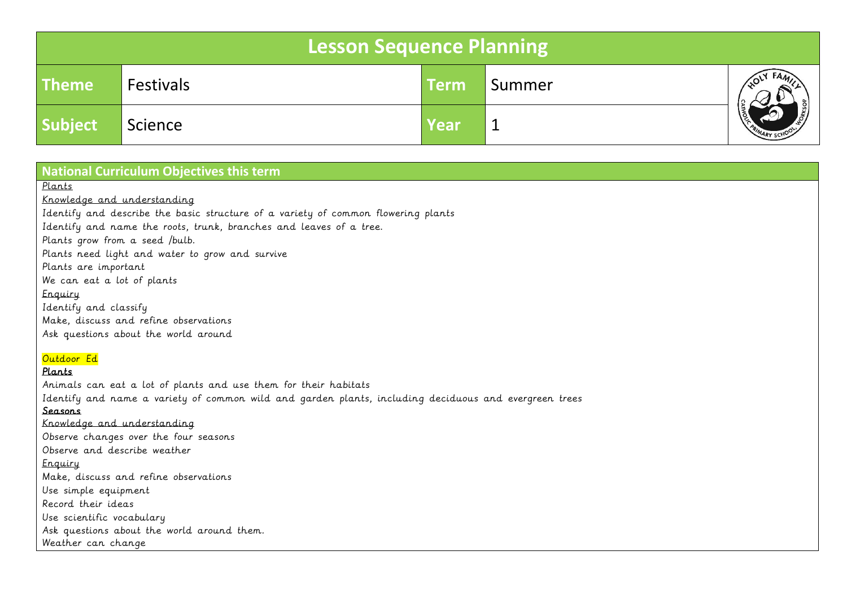| Lesson Sequence Planning |                  |             |        |                |  |  |  |
|--------------------------|------------------|-------------|--------|----------------|--|--|--|
| <b>Theme</b>             | <b>Festivals</b> | <b>Term</b> | Summer |                |  |  |  |
| <b>Subject</b>           | Science          | Year        |        | PRIMARY SCHOOL |  |  |  |

## **National Curriculum Objectives this term**

Plants

Knowledge and understanding

Identify and describe the basic structure of a variety of common flowering plants

Identify and name the roots, trunk, branches and leaves of a tree.

Plants grow from a seed /bulb.

Plants need light and water to grow and survive

Plants are important

We can eat a lot of plants

Enquiry

Identify and classify Make, discuss and refine observations Ask questions about the world around

## Outdoor Ed

## Plants

Animals can eat a lot of plants and use them for their habitats Identify and name a variety of common wild and garden plants, including deciduous and evergreen trees Seasons Knowledge and understanding Observe changes over the four seasons Observe and describe weather Enquiry Make, discuss and refine observations Use simple equipment Record their ideas Use scientific vocabulary Ask questions about the world around them. Weather can change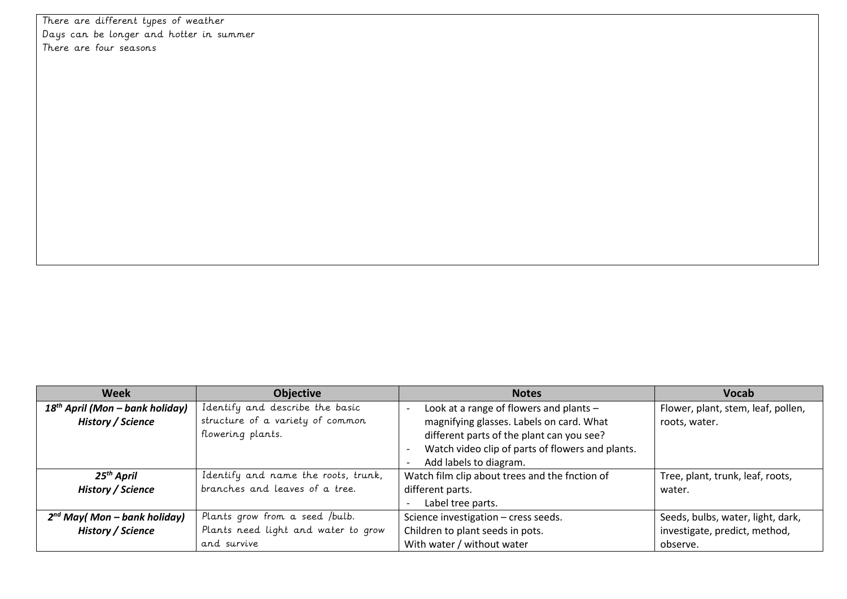There are different types of weather Days can be longer and hotter in summer There are four seasons

| Week                                                                           | <b>Objective</b>                    | <b>Notes</b>                                     | <b>Vocab</b>                       |
|--------------------------------------------------------------------------------|-------------------------------------|--------------------------------------------------|------------------------------------|
| Identify and describe the basic<br>18 <sup>th</sup> April (Mon – bank holiday) |                                     | Look at a range of flowers and plants -          | Flower, plant, stem, leaf, pollen, |
| <b>History / Science</b>                                                       | structure of a variety of common    | magnifying glasses. Labels on card. What         | roots, water.                      |
| flowering plants.                                                              |                                     | different parts of the plant can you see?        |                                    |
|                                                                                |                                     | Watch video clip of parts of flowers and plants. |                                    |
|                                                                                |                                     | Add labels to diagram.                           |                                    |
| 25 <sup>th</sup> April                                                         | Identify and name the roots, trunk, | Watch film clip about trees and the fnction of   | Tree, plant, trunk, leaf, roots,   |
| branches and leaves of a tree.<br>History / Science                            |                                     | different parts.                                 | water.                             |
|                                                                                |                                     | Label tree parts.<br>$\overline{\phantom{a}}$    |                                    |
| $2^{nd}$ May(Mon – bank holiday)                                               | Plants grow from a seed /bulb.      | Science investigation - cress seeds.             | Seeds, bulbs, water, light, dark,  |
| Plants need light and water to grow<br>History / Science                       |                                     | Children to plant seeds in pots.                 | investigate, predict, method,      |
|                                                                                | and survive                         | With water / without water                       | observe.                           |